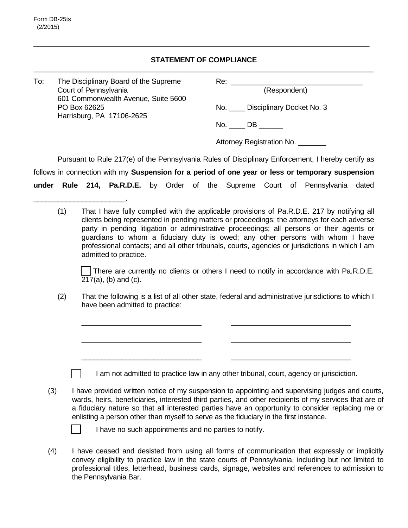## **STATEMENT OF COMPLIANCE** \_\_\_\_\_\_\_\_\_\_\_\_\_\_\_\_\_\_\_\_\_\_\_\_\_\_\_\_\_\_\_\_\_\_\_\_\_\_\_\_\_\_\_\_\_\_\_\_\_\_\_\_\_\_\_\_\_\_\_\_\_\_\_\_\_\_\_\_\_\_\_\_\_\_\_\_\_\_\_\_\_\_\_\_\_

\_\_\_\_\_\_\_\_\_\_\_\_\_\_\_\_\_\_\_\_\_\_\_\_\_\_\_\_\_\_\_\_\_\_\_\_\_\_\_\_\_\_\_\_\_\_\_\_\_\_\_\_\_\_\_\_\_\_\_\_\_\_\_\_\_\_\_\_\_\_\_\_\_\_\_\_\_\_\_\_\_\_\_\_

| To: | The Disciplinary Board of the Supreme<br>Court of Pennsylvania<br>601 Commonwealth Avenue, Suite 5600<br>PO Box 62625<br>Harrisburg, PA 17106-2625 | Re:<br>(Respondent)                                                                                |
|-----|----------------------------------------------------------------------------------------------------------------------------------------------------|----------------------------------------------------------------------------------------------------|
|     |                                                                                                                                                    | No. Disciplinary Docket No. 3                                                                      |
|     |                                                                                                                                                    | $No. \_\_DB \_\_$                                                                                  |
|     |                                                                                                                                                    | Attorney Registration No.                                                                          |
|     |                                                                                                                                                    | Pursuant to Rule 217(e) of the Pennsylvania Rules of Disciplinary Enforcement, I hereby certify as |

follows in connection with my **Suspension for a period of one year or less or temporary suspension** 

**under Rule 214, Pa.R.D.E.** by Order of the Supreme Court of Pennsylvania dated

(1) That I have fully complied with the applicable provisions of Pa.R.D.E. 217 by notifying all clients being represented in pending matters or proceedings; the attorneys for each adverse party in pending litigation or administrative proceedings; all persons or their agents or guardians to whom a fiduciary duty is owed; any other persons with whom I have professional contacts; and all other tribunals, courts, agencies or jurisdictions in which I am admitted to practice.

There are currently no clients or others I need to notify in accordance with Pa.R.D.E.  $217(a)$ , (b) and (c).

\_\_\_\_\_\_\_\_\_\_\_\_\_\_\_\_\_\_\_\_\_\_\_\_\_\_\_\_\_\_

\_\_\_\_\_\_\_\_\_\_\_\_\_\_\_\_\_\_\_\_\_\_\_\_\_\_\_\_\_\_

\_\_\_\_\_\_\_\_\_\_\_\_\_\_\_\_\_\_\_\_\_\_\_\_\_\_\_\_\_\_

(2) That the following is a list of all other state, federal and administrative jurisdictions to which I have been admitted to practice:

I am not admitted to practice law in any other tribunal, court, agency or jurisdiction.

(3) I have provided written notice of my suspension to appointing and supervising judges and courts, wards, heirs, beneficiaries, interested third parties, and other recipients of my services that are of a fiduciary nature so that all interested parties have an opportunity to consider replacing me or enlisting a person other than myself to serve as the fiduciary in the first instance.



\_\_\_\_\_\_\_\_\_\_\_\_\_\_\_\_\_\_\_\_\_\_\_.

I have no such appointments and no parties to notify.

\_\_\_\_\_\_\_\_\_\_\_\_\_\_\_\_\_\_\_\_\_\_\_\_\_\_\_\_\_\_

\_\_\_\_\_\_\_\_\_\_\_\_\_\_\_\_\_\_\_\_\_\_\_\_\_\_\_\_\_\_

\_\_\_\_\_\_\_\_\_\_\_\_\_\_\_\_\_\_\_\_\_\_\_\_\_\_\_\_\_\_

(4) I have ceased and desisted from using all forms of communication that expressly or implicitly convey eligibility to practice law in the state courts of Pennsylvania, including but not limited to professional titles, letterhead, business cards, signage, websites and references to admission to the Pennsylvania Bar.